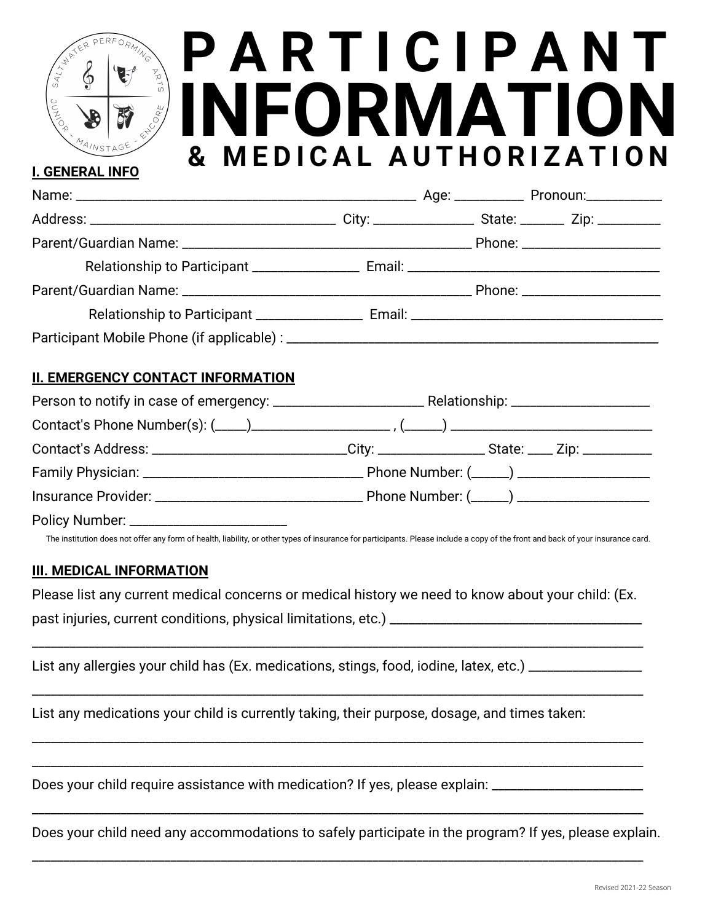# **P A R T I C I P A N T INFORMATION & M E D I C A L A U T H O R I Z A T I O N**

#### **II. EMERGENCY CONTACT INFORMATION**

| Contact's Address: ______________________________City: ______________________________Zip: ____________________ |  |  |
|----------------------------------------------------------------------------------------------------------------|--|--|
|                                                                                                                |  |  |
|                                                                                                                |  |  |
|                                                                                                                |  |  |

The institution does not offer any form of health, liability, or other types of insurance for participants. Please include a copy of the front and back of your insurance card.

#### **III. MEDICAL INFORMATION**

**I. GENERAL INFO**

Please list any current medical concerns or medical history we need to know about your child: (Ex. past injuries, current conditions, physical limitations, etc.) \_\_\_\_\_\_\_\_\_\_\_\_\_\_\_\_\_\_\_\_\_\_\_\_\_\_\_\_\_\_\_\_\_\_\_\_\_\_\_\_

\_\_\_\_\_\_\_\_\_\_\_\_\_\_\_\_\_\_\_\_\_\_\_\_\_\_\_\_\_\_\_\_\_\_\_\_\_\_\_\_\_\_\_\_\_\_\_\_\_\_\_\_\_\_\_\_\_\_\_\_\_\_\_\_\_\_\_\_\_\_\_\_\_\_\_\_\_\_\_\_\_\_\_\_\_\_\_\_\_\_\_\_\_\_\_\_\_

\_\_\_\_\_\_\_\_\_\_\_\_\_\_\_\_\_\_\_\_\_\_\_\_\_\_\_\_\_\_\_\_\_\_\_\_\_\_\_\_\_\_\_\_\_\_\_\_\_\_\_\_\_\_\_\_\_\_\_\_\_\_\_\_\_\_\_\_\_\_\_\_\_\_\_\_\_\_\_\_\_\_\_\_\_\_\_\_\_\_\_\_\_\_\_\_\_

\_\_\_\_\_\_\_\_\_\_\_\_\_\_\_\_\_\_\_\_\_\_\_\_\_\_\_\_\_\_\_\_\_\_\_\_\_\_\_\_\_\_\_\_\_\_\_\_\_\_\_\_\_\_\_\_\_\_\_\_\_\_\_\_\_\_\_\_\_\_\_\_\_\_\_\_\_\_\_\_\_\_\_\_\_\_\_\_\_\_\_\_\_\_\_\_\_

\_\_\_\_\_\_\_\_\_\_\_\_\_\_\_\_\_\_\_\_\_\_\_\_\_\_\_\_\_\_\_\_\_\_\_\_\_\_\_\_\_\_\_\_\_\_\_\_\_\_\_\_\_\_\_\_\_\_\_\_\_\_\_\_\_\_\_\_\_\_\_\_\_\_\_\_\_\_\_\_\_\_\_\_\_\_\_\_\_\_\_\_\_\_\_\_\_

\_\_\_\_\_\_\_\_\_\_\_\_\_\_\_\_\_\_\_\_\_\_\_\_\_\_\_\_\_\_\_\_\_\_\_\_\_\_\_\_\_\_\_\_\_\_\_\_\_\_\_\_\_\_\_\_\_\_\_\_\_\_\_\_\_\_\_\_\_\_\_\_\_\_\_\_\_\_\_\_\_\_\_\_\_\_\_\_\_\_\_\_\_\_\_\_\_

\_\_\_\_\_\_\_\_\_\_\_\_\_\_\_\_\_\_\_\_\_\_\_\_\_\_\_\_\_\_\_\_\_\_\_\_\_\_\_\_\_\_\_\_\_\_\_\_\_\_\_\_\_\_\_\_\_\_\_\_\_\_\_\_\_\_\_\_\_\_\_\_\_\_\_\_\_\_\_\_\_\_\_\_\_\_\_\_\_\_\_\_\_\_\_\_\_

List any allergies your child has (Ex. medications, stings, food, iodine, latex, etc.) \_\_\_\_\_\_\_\_\_\_\_\_\_

List any medications your child is currently taking, their purpose, dosage, and times taken:

Does your child require assistance with medication? If yes, please explain: \_\_\_\_\_\_\_\_\_\_\_\_\_\_\_\_\_\_\_\_\_\_\_

Does your child need any accommodations to safely participate in the program? If yes, please explain.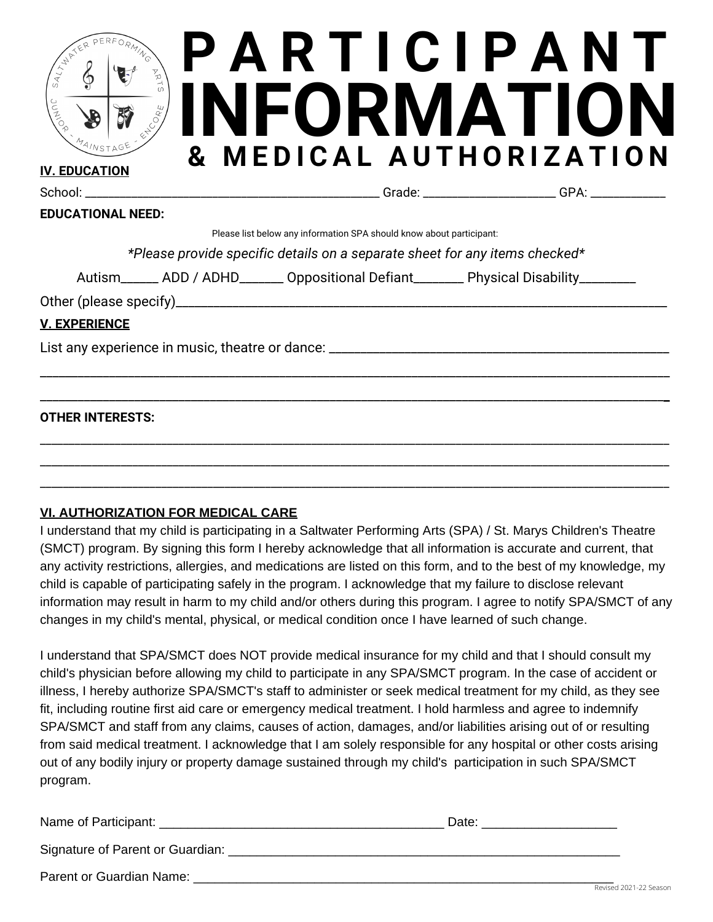| $\mathbb{F}_{\mathcal{D}}$<br>JUMIO <sup>R</sup> | $\mathbf{g}$                                                         | PARTICIPANT<br>INFORMATION<br>MEDICAL AUTHORIZATION |  |
|--------------------------------------------------|----------------------------------------------------------------------|-----------------------------------------------------|--|
| IV. ED <u>ucation</u>                            |                                                                      |                                                     |  |
| <b>EDUCATIONAL NEED:</b>                         |                                                                      | Grade: GPA:                                         |  |
|                                                  | Please list below any information SPA should know about participant: |                                                     |  |

*\*Please provide specific details on a separate sheet for any items checked\**

\_\_\_\_\_\_\_\_\_\_\_\_\_\_\_\_\_\_\_\_\_\_\_\_\_\_\_\_\_\_\_\_\_\_\_\_\_\_\_\_\_\_\_\_\_\_\_\_\_\_\_\_\_\_\_\_\_\_\_\_\_\_\_\_\_\_\_\_\_\_\_\_\_\_\_\_\_\_\_\_\_\_\_\_\_\_\_\_\_\_\_\_\_\_\_\_\_\_\_\_

\_\_\_\_\_\_\_\_\_\_\_\_\_\_\_\_\_\_\_\_\_\_\_\_\_\_\_\_\_\_\_\_\_\_\_\_\_\_\_\_\_\_\_\_\_\_\_\_\_\_\_\_\_\_\_\_\_\_\_\_\_\_\_\_\_\_\_\_\_\_\_\_\_\_\_\_\_\_\_\_\_\_\_\_\_\_\_\_\_\_\_\_\_\_\_\_\_\_\_**\_**

\_\_\_\_\_\_\_\_\_\_\_\_\_\_\_\_\_\_\_\_\_\_\_\_\_\_\_\_\_\_\_\_\_\_\_\_\_\_\_\_\_\_\_\_\_\_\_\_\_\_\_\_\_\_\_\_\_\_\_\_\_\_\_\_\_\_\_\_\_\_\_\_\_\_\_\_\_\_\_\_\_\_\_\_\_\_\_\_\_\_\_\_\_\_\_\_\_\_\_\_\_\_\_\_\_\_\_\_\_ \_\_\_\_\_\_\_\_\_\_\_\_\_\_\_\_\_\_\_\_\_\_\_\_\_\_\_\_\_\_\_\_\_\_\_\_\_\_\_\_\_\_\_\_\_\_\_\_\_\_\_\_\_\_\_\_\_\_\_\_\_\_\_\_\_\_\_\_\_\_\_\_\_\_\_\_\_\_\_\_\_\_\_\_\_\_\_\_\_\_\_\_\_\_\_\_\_\_\_\_\_\_\_\_\_\_\_\_\_ \_\_\_\_\_\_\_\_\_\_\_\_\_\_\_\_\_\_\_\_\_\_\_\_\_\_\_\_\_\_\_\_\_\_\_\_\_\_\_\_\_\_\_\_\_\_\_\_\_\_\_\_\_\_\_\_\_\_\_\_\_\_\_\_\_\_\_\_\_\_\_\_\_\_\_\_\_\_\_\_\_\_\_\_\_\_\_\_\_\_\_\_\_\_\_\_\_\_\_\_\_\_\_\_\_\_\_\_\_

Autism\_\_\_\_\_\_ ADD / ADHD\_\_\_\_\_\_\_ Oppositional Defiant\_\_\_\_\_\_\_\_ Physical Disability\_\_\_\_\_\_\_\_

Other (please specify)\_\_\_\_\_\_\_\_\_\_\_\_\_\_\_\_\_\_\_\_\_\_\_\_\_\_\_\_\_\_\_\_\_\_\_\_\_\_\_\_\_\_\_\_\_\_\_\_\_\_\_\_\_\_\_\_\_\_\_\_\_\_\_\_\_\_\_\_\_\_\_\_\_\_\_\_\_\_

### **V. EXPERIENCE**

List any experience in music, theatre or dance: \_\_\_\_\_\_\_\_\_\_\_\_\_\_\_\_\_\_\_\_\_\_\_\_\_\_\_\_\_\_\_\_\_\_\_\_\_\_\_\_\_\_\_\_\_\_\_\_\_\_\_\_\_\_

#### **OTHER INTERESTS:**

#### **VI. AUTHORIZATION FOR MEDICAL CARE**

I understand that my child is participating in a Saltwater Performing Arts (SPA) / St. Marys Children's Theatre (SMCT) program. By signing this form I hereby acknowledge that all information is accurate and current, that any activity restrictions, allergies, and medications are listed on this form, and to the best of my knowledge, my child is capable of participating safely in the program. I acknowledge that my failure to disclose relevant information may result in harm to my child and/or others during this program. I agree to notify SPA/SMCT of any changes in my child's mental, physical, or medical condition once I have learned of such change.

I understand that SPA/SMCT does NOT provide medical insurance for my child and that I should consult my child's physician before allowing my child to participate in any SPA/SMCT program. In the case of accident or illness, I hereby authorize SPA/SMCT's staff to administer or seek medical treatment for my child, as they see fit, including routine first aid care or emergency medical treatment. I hold harmless and agree to indemnify SPA/SMCT and staff from any claims, causes of action, damages, and/or liabilities arising out of or resulting from said medical treatment. I acknowledge that I am solely responsible for any hospital or other costs arising out of any bodily injury or property damage sustained through my child's participation in such SPA/SMCT program.

| Name of Participant:             | Date: |
|----------------------------------|-------|
| Signature of Parent or Guardian: |       |
| Parent or Guardian Name:         |       |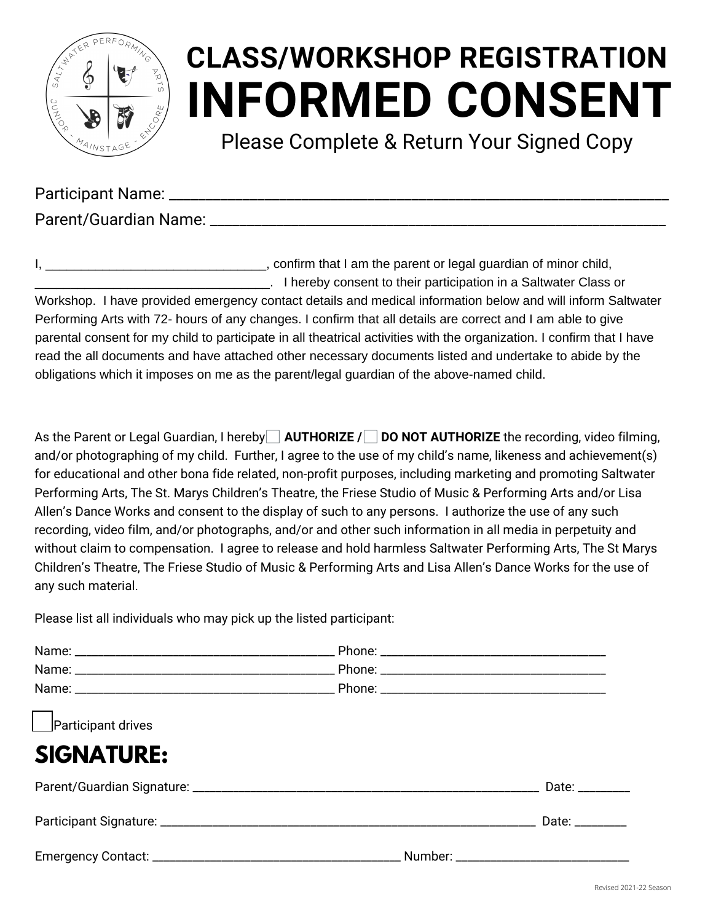

### **INFORMED CONSENT CLASS/WORKSHOP REGISTRATION**

Please Complete & Return Your Signed Copy

Participant Name: **Example 18** 

Parent/Guardian Name: **Example 2018** 

I, **I** am the parent or legal guardian of minor child, \_\_\_\_\_\_\_\_\_\_\_\_\_\_\_\_\_\_\_\_\_\_\_\_\_\_\_\_\_\_\_\_\_. I hereby consent to their participation in a Saltwater Class or Workshop. I have provided emergency contact details and medical information below and will inform Saltwater Performing Arts with 72- hours of any changes. I confirm that all details are correct and I am able to give parental consent for my child to participate in all theatrical activities with the organization. I confirm that I have read the all documents and have attached other necessary documents listed and undertake to abide by the obligations which it imposes on me as the parent/legal guardian of the above-named child.

As the Parent or Legal Guardian, I hereby **AUTHORIZE / DO NOT AUTHORIZE** the recording, video filming, and/or photographing of my child. Further, I agree to the use of my child's name, likeness and achievement(s) for educational and other bona fide related, non-profit purposes, including marketing and promoting Saltwater Performing Arts, The St. Marys Children's Theatre, the Friese Studio of Music & Performing Arts and/or Lisa Allen's Dance Works and consent to the display of such to any persons. I authorize the use of any such recording, video film, and/or photographs, and/or and other such information in all media in perpetuity and without claim to compensation. I agree to release and hold harmless Saltwater Performing Arts, The St Marys Children's Theatre, The Friese Studio of Music & Performing Arts and Lisa Allen's Dance Works for the use of any such material.

Please list all individuals who may pick up the listed participant:

| Participant drives |                    |  |
|--------------------|--------------------|--|
| <b>SIGNATURE:</b>  |                    |  |
|                    | Date: _________    |  |
|                    | Date: <b>Date:</b> |  |
|                    |                    |  |